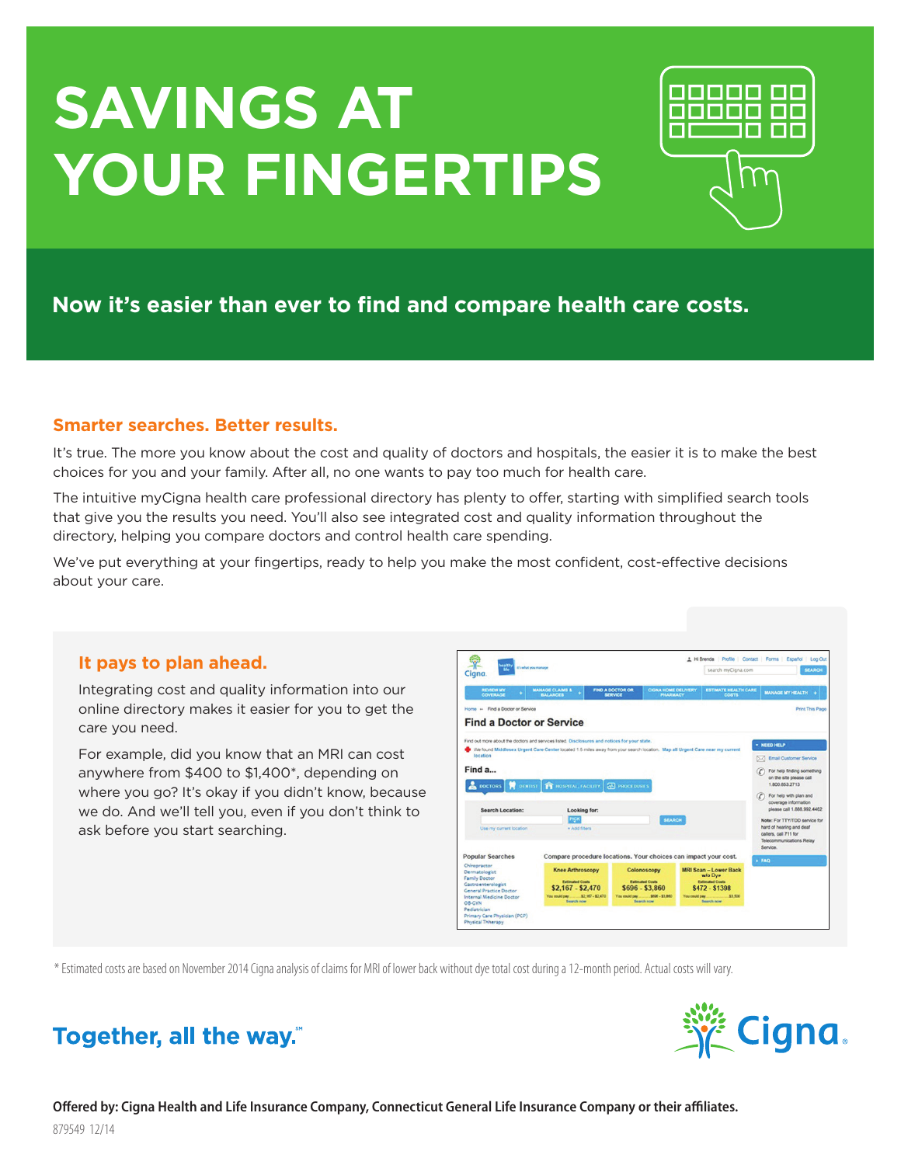# **Savings at your fingertips**



## **Now it's easier than ever to find and compare health care costs.**

### **Smarter searches. Better results.**

It's true. The more you know about the cost and quality of doctors and hospitals, the easier it is to make the best choices for you and your family. After all, no one wants to pay too much for health care.

The intuitive myCigna health care professional directory has plenty to offer, starting with simplified search tools that give you the results you need. You'll also see integrated cost and quality information throughout the directory, helping you compare doctors and control health care spending.

We've put everything at your fingertips, ready to help you make the most confident, cost-effective decisions about your care.

#### **It pays to plan ahead.**

Integrating cost and quality information into our online directory makes it easier for you to get the care you need.

For example, did you know that an MRI can cost anywhere from \$400 to \$1,400\*, depending on where you go? It's okay if you didn't know, because we do. And we'll tell you, even if you don't think to ask before you start searching.

| waith<br>it's what you manage<br>1de<br>Ciana                                                                                                                                                              |                                                                                                                                                                                                                                                                             |                                           | search myCigna.com                                                                           |               |                                                                                                                     | <b>SEARCH</b>                                                                                                                                                                           |  |
|------------------------------------------------------------------------------------------------------------------------------------------------------------------------------------------------------------|-----------------------------------------------------------------------------------------------------------------------------------------------------------------------------------------------------------------------------------------------------------------------------|-------------------------------------------|----------------------------------------------------------------------------------------------|---------------|---------------------------------------------------------------------------------------------------------------------|-----------------------------------------------------------------------------------------------------------------------------------------------------------------------------------------|--|
| <b>REVIEW MY</b><br>COVERAGE                                                                                                                                                                               | <b>MANAGE CLAIMS &amp;</b><br><b>BALANCES</b>                                                                                                                                                                                                                               | <b>FIND A DOCTOR OR</b><br><b>SERVICE</b> | <b>CIGNA HOME DELIVERY</b><br><b>PHARMACY</b>                                                |               | <b>ESTIMATE HEALTH CARE</b><br><b>COSTS</b>                                                                         | <b>MANAGE MY HEALTH</b>                                                                                                                                                                 |  |
| Home » Find a Doctor or Service<br><b>Find a Doctor or Service</b>                                                                                                                                         |                                                                                                                                                                                                                                                                             |                                           |                                                                                              |               |                                                                                                                     | <b>Print This Page</b>                                                                                                                                                                  |  |
| location<br>Find a<br><b>A</b> DOCTORS<br>ы<br>DENTIST                                                                                                                                                     | Find out more about the doctors and services listed. Disclosures and notices for your state.<br>Vie found Middlesex Urgent Care Center located 1.5 miles away from your search location. Map all Urgent Care near my current<br><b>PE HOSPITAL FACILITY   AN PROCEDURES</b> |                                           |                                                                                              |               |                                                                                                                     | - NEED HELP<br>5.7 Email Customer Service<br>For help finding something<br>œ<br>on the site please call<br>1,800,853,2713<br>For help with plan and<br>$\sigma$<br>coverage information |  |
| <b>Search Location:</b><br>Use my current location                                                                                                                                                         | Looking for:<br>PICK<br>· Add fibers                                                                                                                                                                                                                                        | <b>SEARCH</b>                             |                                                                                              |               |                                                                                                                     |                                                                                                                                                                                         |  |
| <b>Popular Searches</b>                                                                                                                                                                                    | Compare procedure locations. Your choices can impact your cost.                                                                                                                                                                                                             |                                           |                                                                                              |               |                                                                                                                     | FAA                                                                                                                                                                                     |  |
| Chiropractor<br>Dermatologist<br><b>Family Doctor</b><br>Gastroenterologist<br><b>General Practice Doctor</b><br>Internal Medicine Doctor<br><b>OB-CYN</b><br>Pediatrician<br>Primary Care Physician (PCP) | <b>Knee Arthroscopy</b><br><b>Estimated Costs</b><br>\$2,167 - \$2,470<br>You could pay ________ \$2,167 - \$2,470<br><b>Search now</b>                                                                                                                                     | You could pay                             | Colonoscopy<br><b>Estimated Costs</b><br>$$696 - $3,860$<br>5808 - 8098<br><b>Search now</b> | You could pay | <b>MRI Scan - Lower Back</b><br>w/o Dye<br><b>Extimated Costs</b><br>\$472 - \$1398<br>\$3,500<br><b>Bearch now</b> |                                                                                                                                                                                         |  |

\* Estimated costs are based on November 2014 Cigna analysis of claims for MRI of lower back without dye total cost during a 12-month period. Actual costs will vary.